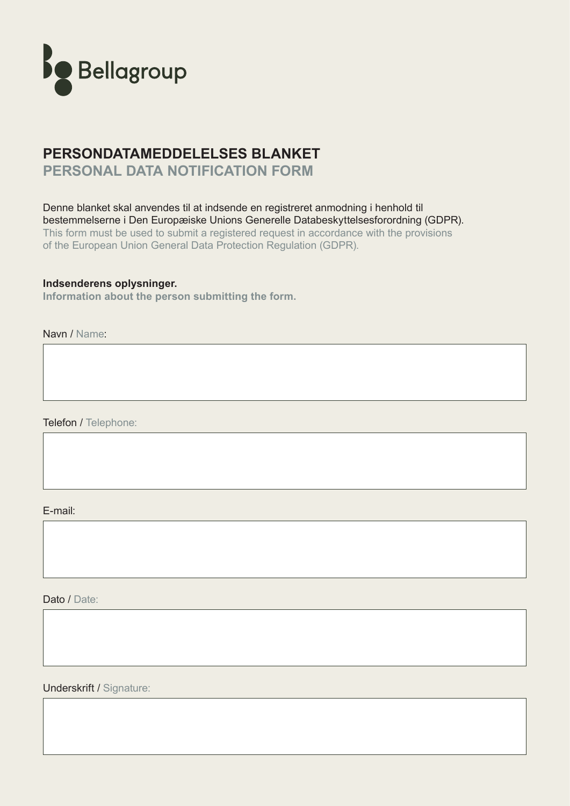

## **PERSONDATAMEDDELELSES BLANKET PERSONAL DATA NOTIFICATION FORM**

Denne blanket skal anvendes til at indsende en registreret anmodning i henhold til bestemmelserne i Den Europæiske Unions Generelle Databeskyttelsesforordning (GDPR). This form must be used to submit a registered request in accordance with the provisions of the European Union General Data Protection Regulation (GDPR).

#### **Indsenderens oplysninger.**

**Information about the person submitting the form.**

Navn / Name:

Telefon / Telephone:

E-mail:

Dato / Date:

Underskrift / Signature: